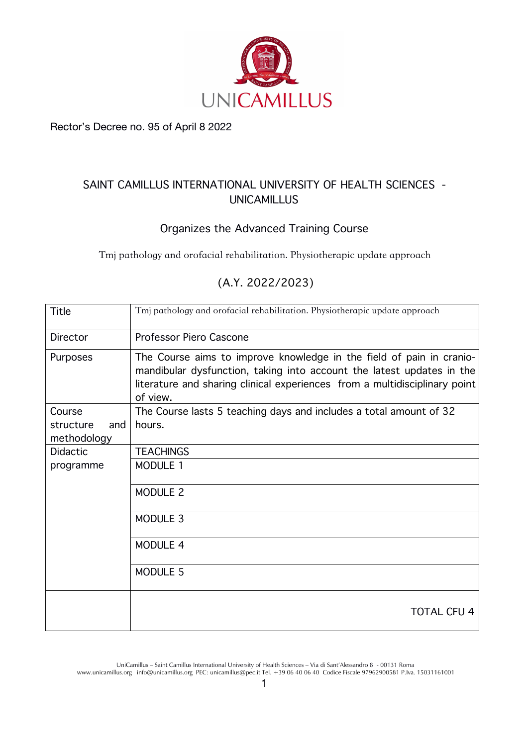

Rector's Decree no. 95 of April 8 2022

## **SAINT CAMILLUS INTERNATIONAL UNIVERSITY OFHEALTH SCIENCES - UNICAMILLUS**

## **Organizes the Advanced Training Course**

Tmj pathology and orofacial rehabilitation. Physiotherapic update approach

| <b>Title</b>                    | Tmj pathology and orofacial rehabilitation. Physiotherapic update approach                                                                                                                                                              |
|---------------------------------|-----------------------------------------------------------------------------------------------------------------------------------------------------------------------------------------------------------------------------------------|
| Director                        | Professor Piero Cascone                                                                                                                                                                                                                 |
| Purposes                        | The Course aims to improve knowledge in the field of pain in cranio-<br>mandibular dysfunction, taking into account the latest updates in the<br>literature and sharing clinical experiences from a multidisciplinary point<br>of view. |
| Course                          | The Course lasts 5 teaching days and includes a total amount of 32                                                                                                                                                                      |
| structure<br>and<br>methodology | hours.                                                                                                                                                                                                                                  |
| <b>Didactic</b>                 | <b>TEACHINGS</b>                                                                                                                                                                                                                        |
| programme                       | MODULE 1                                                                                                                                                                                                                                |
|                                 | MODULE 2                                                                                                                                                                                                                                |
|                                 | MODULE 3                                                                                                                                                                                                                                |
|                                 | MODULE 4                                                                                                                                                                                                                                |
|                                 | MODULE 5                                                                                                                                                                                                                                |
|                                 | <b>TOTAL CFU 4</b>                                                                                                                                                                                                                      |
|                                 |                                                                                                                                                                                                                                         |

## **(A.Y. 2022/2023)**

UniCamillus – Saint Camillus International University of Health Sciences – Via di Sant'Alessandro 8 - 00131 Roma www.unicamillus.org info@unicamillus.org PEC: unicamillus@pec.it Tel. +39 06 40 06 40 Codice Fiscale 97962900581 P.Iva. 15031161001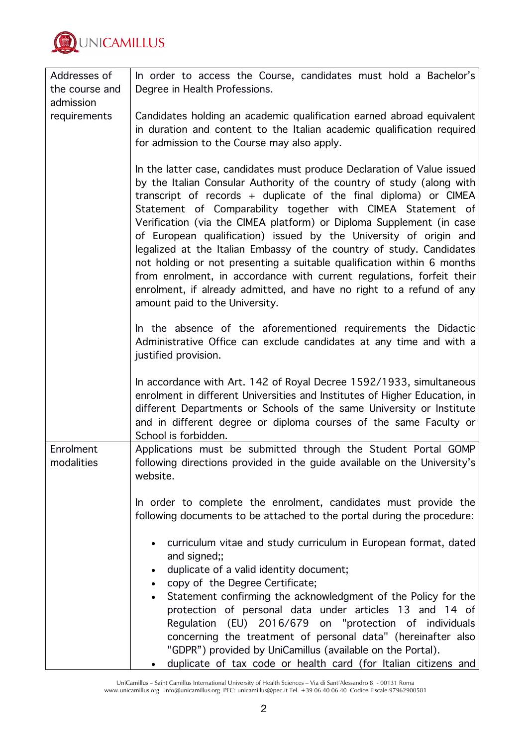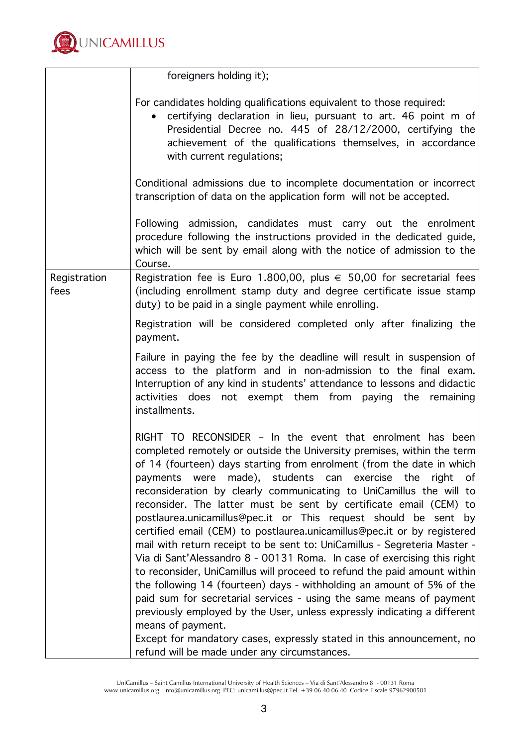